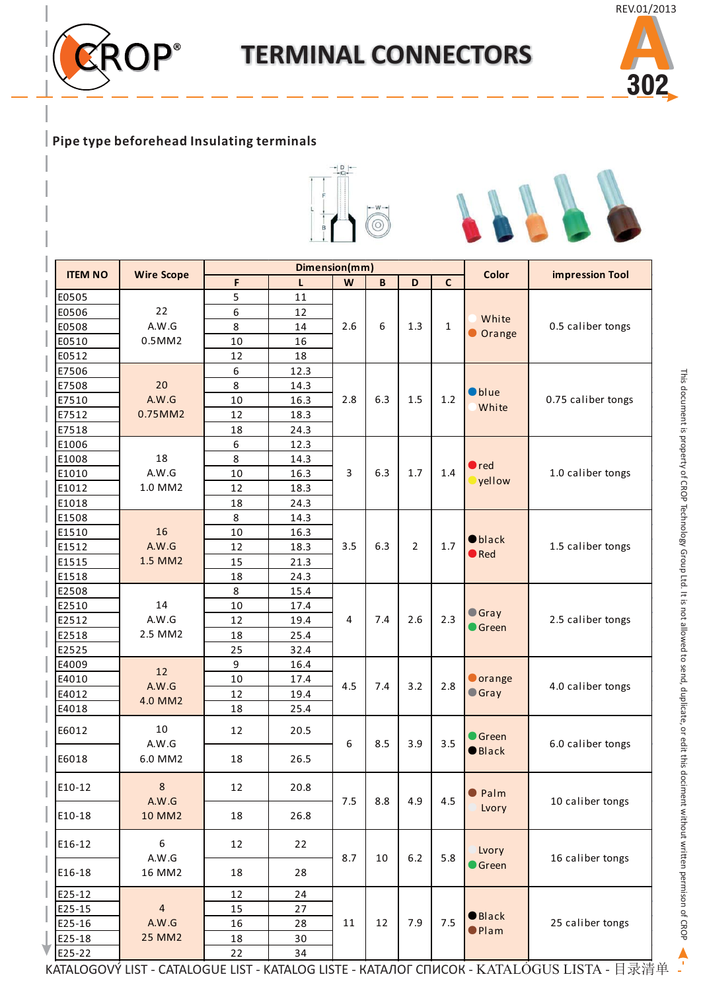

## **TERMINAL CONNECTORS**



## **Pipe type beforehead Insulating terminals**



|                |                   |    |      | Dimension(mm) |     |                |              |                 |                                                                                            |  |
|----------------|-------------------|----|------|---------------|-----|----------------|--------------|-----------------|--------------------------------------------------------------------------------------------|--|
| <b>ITEM NO</b> | <b>Wire Scope</b> | F  | L    | W             | B   | D              | $\mathsf{C}$ | <b>Color</b>    | <b>impression Tool</b>                                                                     |  |
| E0505          |                   | 5  | 11   |               |     |                |              |                 |                                                                                            |  |
| E0506          | 22                | 6  | 12   |               |     |                |              |                 |                                                                                            |  |
| E0508          | A.W.G             | 8  | 14   | 2.6           | 6   | 1.3            | $\mathbf 1$  | White           | 0.5 caliber tongs                                                                          |  |
| E0510          | 0.5MM2            | 10 | 16   |               |     |                |              | Orange          |                                                                                            |  |
| E0512          |                   | 12 | 18   |               |     |                |              |                 |                                                                                            |  |
| E7506          |                   | 6  | 12.3 |               |     |                |              |                 |                                                                                            |  |
| E7508          | 20                | 8  | 14.3 |               |     |                |              |                 |                                                                                            |  |
| E7510          | A.W.G             | 10 | 16.3 | 2.8           | 6.3 | 1.5            | $1.2$        | <b>O</b> blue   | 0.75 caliber tongs                                                                         |  |
| E7512          | 0.75MM2           | 12 | 18.3 |               |     |                |              | White           |                                                                                            |  |
| E7518          |                   | 18 | 24.3 |               |     |                |              |                 |                                                                                            |  |
| E1006          |                   | 6  | 12.3 |               |     |                |              |                 |                                                                                            |  |
| E1008          | 18                | 8  | 14.3 |               |     |                |              |                 |                                                                                            |  |
| E1010          | A.W.G             | 10 | 16.3 | 3             | 6.3 | $1.7\,$        | 1.4          | $\bullet$ red   | 1.0 caliber tongs                                                                          |  |
| E1012          | 1.0 MM2           | 12 | 18.3 |               |     |                |              | yellow          |                                                                                            |  |
| E1018          |                   | 18 | 24.3 |               |     |                |              |                 |                                                                                            |  |
| E1508          |                   | 8  | 14.3 |               |     |                |              |                 |                                                                                            |  |
| E1510          | 16                | 10 | 16.3 |               |     |                |              |                 |                                                                                            |  |
| E1512          | A.W.G             | 12 | 18.3 | 3.5           | 6.3 | $\overline{2}$ | 1.7          | $\bullet$ black | 1.5 caliber tongs                                                                          |  |
| E1515          | 1.5 MM2           | 15 | 21.3 |               |     |                |              | $\bullet$ Red   |                                                                                            |  |
| E1518          |                   | 18 | 24.3 |               |     |                |              |                 |                                                                                            |  |
| E2508          |                   | 8  | 15.4 |               |     |                |              |                 |                                                                                            |  |
| E2510          | 14                | 10 | 17.4 |               |     |                |              |                 |                                                                                            |  |
| E2512          | A.W.G             | 12 | 19.4 | 4             | 7.4 | 2.6            | 2.3          | <b>Gray</b>     | 2.5 caliber tongs                                                                          |  |
| E2518          | 2.5 MM2           | 18 | 25.4 |               |     |                |              | Green           |                                                                                            |  |
| E2525          |                   | 25 | 32.4 |               |     |                |              |                 |                                                                                            |  |
| E4009          |                   | 9  | 16.4 |               |     |                |              |                 |                                                                                            |  |
| E4010          | 12                | 10 |      |               |     |                |              | <b>O</b> orange |                                                                                            |  |
| E4012          | A.W.G             | 12 | 17.4 | 4.5           | 7.4 | 3.2            | 2.8          | <b>Gray</b>     | 4.0 caliber tongs                                                                          |  |
|                | 4.0 MM2           |    | 19.4 |               |     |                |              |                 |                                                                                            |  |
| E4018          |                   | 18 | 25.4 |               |     |                |              |                 |                                                                                            |  |
| E6012          | 10                | 12 | 20.5 |               |     |                |              | Green           |                                                                                            |  |
|                | A.W.G             |    |      | 6             | 8.5 | 3.9            | 3.5          | <b>O</b> Black  | 6.0 caliber tongs                                                                          |  |
| E6018          | 6.0 MM2           | 18 | 26.5 |               |     |                |              |                 |                                                                                            |  |
|                |                   |    |      |               |     |                |              |                 |                                                                                            |  |
| E10-12         | 8                 | 12 | 20.8 |               |     |                |              | <b>O</b> Palm   |                                                                                            |  |
|                | A.W.G             |    |      | 7.5           | 8.8 | 4.9            | 4.5          | Lvory           | 10 caliber tongs                                                                           |  |
| E10-18         | 10 MM2            | 18 | 26.8 |               |     |                |              |                 |                                                                                            |  |
|                |                   |    |      |               |     |                |              |                 |                                                                                            |  |
| E16-12         | 6                 | 12 | 22   |               |     |                |              | Lvory           |                                                                                            |  |
|                | A.W.G             |    |      | 8.7           | 10  | $6.2\,$        | 5.8          | <b>Green</b>    | 16 caliber tongs                                                                           |  |
| E16-18         | 16 MM2            | 18 | 28   |               |     |                |              |                 |                                                                                            |  |
| E25-12         |                   | 12 | 24   |               |     |                |              |                 |                                                                                            |  |
| E25-15         | $\overline{4}$    | 15 | 27   |               |     |                |              |                 |                                                                                            |  |
| E25-16         | A.W.G             | 16 | 28   | 11            | 12  | 7.9            | 7.5          | $\bullet$ Black | 25 caliber tongs                                                                           |  |
| E25-18         | 25 MM2            | 18 | 30   |               |     |                |              | <b>O</b> Plam   |                                                                                            |  |
| E25-22         |                   | 22 | 34   |               |     |                |              |                 |                                                                                            |  |
|                |                   |    |      |               |     |                |              |                 | KATALOGOVÝ LIST - CATALOGUE LIST - KATALOG LISTE - КАТАЛОГ СПИСОК - KATALÓGUS LISTA - 目录清单 |  |